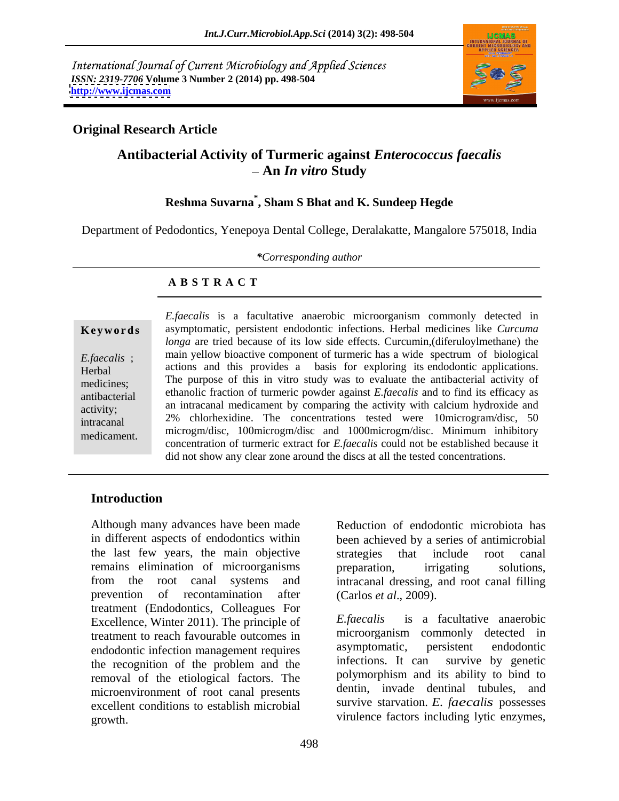International Journal of Current Microbiology and Applied Sciences *ISSN: 2319-7706* **Volume 3 Number 2 (2014) pp. 498-504 <http://www.ijcmas.com>**



#### **Original Research Article**

## **Antibacterial Activity of Turmeric against** *Enterococcus faecalis* **An** *In vitro* **Study**

#### **Reshma Suvarna\* , Sham S Bhat and K. Sundeep Hegde**

Department of Pedodontics, Yenepoya Dental College, Deralakatte, Mangalore 575018, India

*\*Corresponding author*

#### **A B S T R A C T**

**Ke ywo rds** asymptomatic, persistent endodontic infections. Herbal medicines like *Curcuma E.faecalis* ; main yellow bioactive component of turmeric has a wide spectrum of biological Herbal actions and this provides a basis for exploring its endodontic applications. medicines; The purpose of this in vitro study was to evaluate the antibacterial activity of antibacterial ethanolic fraction of turmeric powder against*E.faecalis* and to find its efficacy as activity; an intracanal medicament by comparing the activity with calcium hydroxide and intracanal 2% chlorhexidine. The concentrations tested were 10microgram/disc, 50 *E.faecalis* is a facultative anaerobic microorganism commonly detected in<br>
asymptomatic, persistent endodontic infections. Herbal medicines like *Curcuma*<br> *Lengta component* are tried because of its low side effects. Cur *longa* are tried because of its low side effects. Curcumin,(diferuloylmethane) the microgm/disc, 100microgm/disc and 1000microgm/disc. Minimum inhibitory concentration of turmeric extract for *E.faecalis* could not be established because it did not show any clear zone around the discs at all the tested concentrations.

#### **Introduction**

Although many advances have been made in different aspects of endodontics within been achieved by a series of antimicrobial the last few years, the main objective remains elimination of microorganisms preparation, irrigating solutions, from the root canal systems and intracanal dressing, and root canal filling prevention of recontamination after treatment (Endodontics, Colleagues For<br>Excellence Winter 2011) The principle of Efaecalis Excellence, Winter 2011). The principle of treatment to reach favourable outcomes in microorganism commonly detected in<br>endodontic infection management requires asymptomatic, persistent endodontic endodontic infection management requires asymptomatic, persistent endodontic<br>the recognition of the problem and the infections. It can survive by genetic the recognition of the problem and the removal of the etiological factors. The microenvironment of root canal presents excellent conditions to establish microbial growth. virulence factors including lytic enzymes,

Reduction of endodontic microbiota has strategies that include root canal preparation, irrigating solutions, (Carlos *et al*., 2009).

*E.faecalis* is a facultative anaerobic microorganism commonly detected in asymptomatic, persistent endodontic infections. It can survive by genetic polymorphism and its ability to bind to dentin, invade dentinal tubules, and survive starvation. *E. faecalis* possesses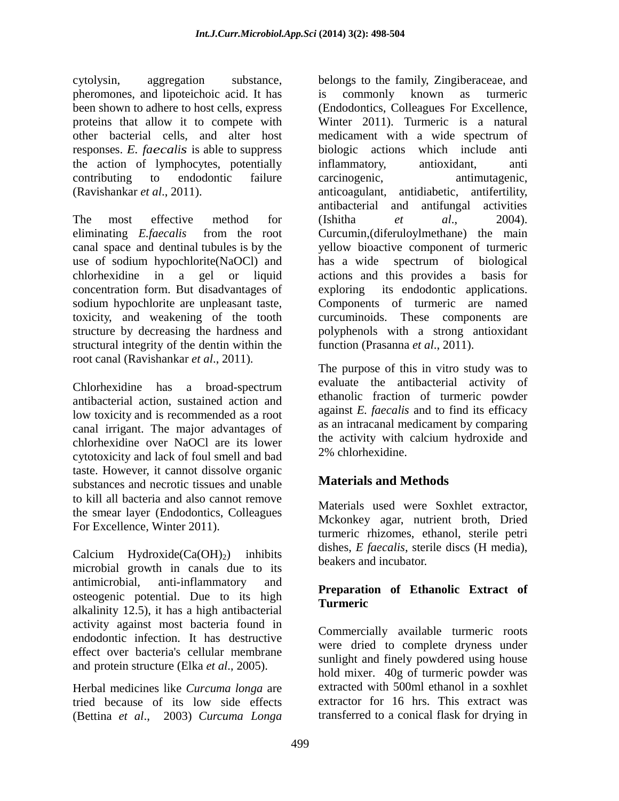pheromones, and lipoteichoic acid. It has is commonly known as turmeric other bacterial cells, and alter host responses. *E. faecalis* is able to suppress biologic action<br>the action of lymphocytes, potentially inflammatory, the action of lymphocytes, potentially inflammatory, antioxidant, anti

eliminating *E.faecalis* from the root Curcumin, (diferuloylmethane) the main canal space and dentinal tubules is by the yellow bioactive component of turmeric use of sodium hypochlorite(NaOCl) and has a wide spectrum of biological chlorhexidine in a gel or liquid actions and this provides a basis for concentration form. But disadvantages of sodium hypochlorite are unpleasant taste, Components of turmeric are named toxicity, and weakening of the tooth structure by decreasing the hardness and polyphenols with a strong antioxidant structural integrity of the dentin within the

antibacterial action, sustained action and low toxicity and is recommended as a root canal irrigant. The major advantages of chlorhexidine over NaOCl are its lower cytotoxicity and lack of foul smell and bad taste. However, it cannot dissolve organic substances and necrotic tissues and unable to kill all bacteria and also cannot remove the smear layer (Endodontics, Colleagues For Excellence, Winter 2011).

Calcium Hydroxide $(Ca(OH)_2)$  inhibits microbial growth in canals due to its antimicrobial, anti-inflammatory and **D**eparation of Ethanolia Extensive of osteogenic potential. Due to its high Treparation alkalinity 12.5), it has a high antibacterial activity against most bacteria found in endodontic infection. It has destructive effect over bacteria's cellular membrane and protein structure (Elka *et al*., 2005).

Herbal medicines like *Curcuma longa* are tried because of its low side effects (Bettina *et al*., 2003) *Curcuma Longa*

cytolysin, aggregation substance, belongs to the family, Zingiberaceae, and been shown to adhere to host cells, express (Endodontics, Colleagues For Excellence, proteins that allow it to compete with Winter 2011). Turmeric is a natural contributing to endodontic failure (Ravishankar *et al.*, 2011). <br>
The most effective method for (Ishitha *et al.*, 2004). is commonly known as turmeric medicament with a wide spectrum of biologic actions which include anti inflammatory, antioxidant, anti carcinogenic, antimutagenic, anticoagulant, antidiabetic, antifertility, antibacterial and antifungal activities (Ishitha *et al*., 2004). Curcumin,(diferuloylmethane) the main has a wide spectrum of biological actions and this provides a its endodontic applications. curcuminoids. These components are function (Prasanna *et al*., 2011).

root canal (Ravishankar *et al.*, 2011).<br>
The purpose of this in vitro study was to<br>
chlorhexidine has a broad-spectrum evaluate the antibacterial activity of The purpose of this in vitro study was to evaluate the antibacterial activity of ethanolic fraction of turmeric powder against *E. faecalis* and to find its efficacy as an intracanal medicament by comparing the activity with calcium hydroxide and 2% chlorhexidine.

# **Materials and Methods**

Materials used were Soxhlet extractor, Mckonkey agar, nutrient broth, Dried turmeric rhizomes, ethanol, sterile petri dishes, *E faecalis*, sterile discs (H media), beakers and incubator.

#### **Preparation of Ethanolic Extract of Turmeric**

Commercially available turmeric roots were dried to complete dryness under sunlight and finely powdered using house hold mixer. 40g of turmeric powder was extracted with 500ml ethanol in a soxhlet extractor for 16 hrs. This extract was transferred to a conical flask for drying in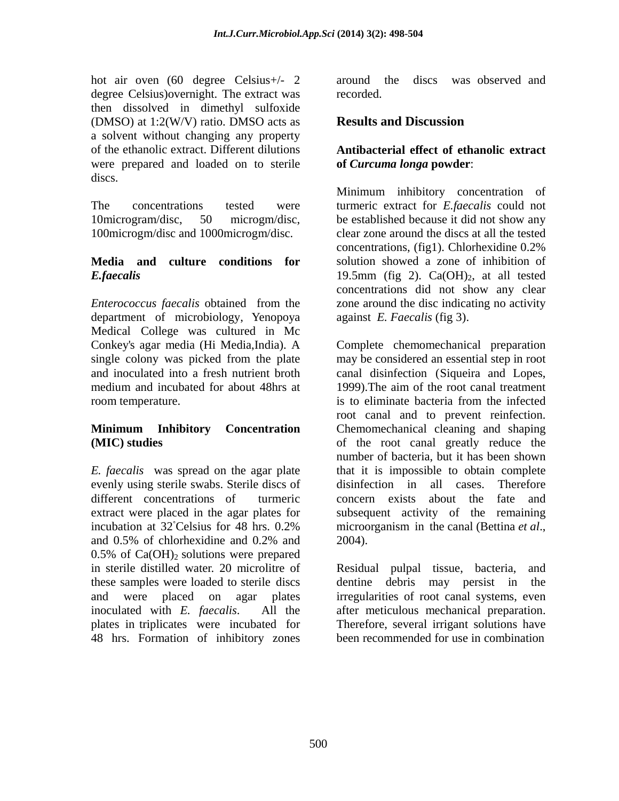hot air oven (60 degree Celsius+/- 2 around the discs was observed and degree Celsius) over night. The extract was recorded. then dissolved in dimethyl sulfoxide (DMSO) at 1:2(W/V) ratio. DMSO acts as **Results and Discussion** a solvent without changing any property of the ethanolic extract. Different dilutions **Antibacterial effect of ethanolic extract**  were prepared and loaded on to sterile discs.

100microgm/disc and 1000microgm/disc.

department of microbiology, Yenopoya Medical College was cultured in Mc room temperature. The interval is to eliminate bacteria from the infected

*E. faecalis* was spread on the agar plate evenly using sterile swabs. Sterile discs of all similar education in all cases. Therefore different concentrations of turmeric concern exists about the fate and extract were placed in the agar plates for subsequent activity of the remaining incubation at 32<sup>°</sup>Celsius for 48 hrs. 0.2% microorganism in the canal (Bettina *et al.*, and 0.5% of chlorhexidine and 0.2% and  $0.5\%$  of Ca(OH)<sub>2</sub> solutions were prepared in sterile distilled water. 20 microlitre of Residual pulpal tissue, bacteria, and these samples were loaded to sterile discs and were placed on agar plates irregularities of root canal systems, even inoculated with *E. faecalis*. All the after meticulous mechanical preparation. plates in triplicates were incubated for 48 hrs. Formation of inhibitory zones

around the discs was observed and recorded.

### **Results and Discussion**

# **of** *Curcuma longa* **powder**:

The concentrations tested were turmeric extract for *E.faecalis*could not 10microgram/disc, 50 microgm/disc, be established because it did not show any **Media and culture conditions for** solution showed a zone of inhibition of  $E$ *faecalis* external tested  $19.5$ mm (fig 2). Ca(OH)<sub>2</sub>, at all tested *Enterococcus faecalis* obtained from the Minimum inhibitory concentration of clear zone around the discs at all the tested concentrations, (fig1). Chlorhexidine 0.2% concentrations did not show any clear zone around the disc indicating no activity against *E. Faecalis* (fig 3).

Conkey's agar media (Hi Media,India). A Complete chemomechanical preparation single colony was picked from the plate may be considered an essential step in root and inoculated into a fresh nutrient broth canal disinfection (Siqueira and Lopes, medium and incubated for about 48hrs at 1999). The aim of the root canal treatment **Minimum Inhibitory Concentration** Chemomechanical cleaning and shaping **(MIC) studies** of the root canal greatly reduce the 1999).The aim of the root canal treatment is to eliminate bacteria from the infected root canal and to prevent reinfection. number of bacteria, but it has been shown that it is impossible to obtain complete disinfection in all cases. microorganism in the canal (Bettina *et al*., 2004).

> dentine debris may persist in Therefore, several irrigant solutions have been recommended for use in combination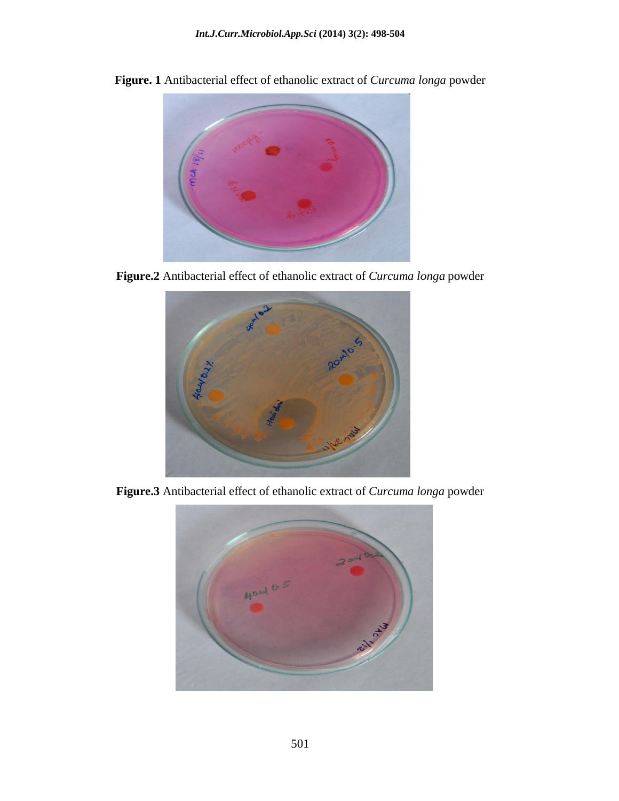

**Figure. 1** Antibacterial effect of ethanolic extract of *Curcuma longa* powder

**Figure.2** Antibacterial effect of ethanolic extract of *Curcuma longa* powder



**Figure.3** Antibacterial effect of ethanolic extract of *Curcuma longa* powder

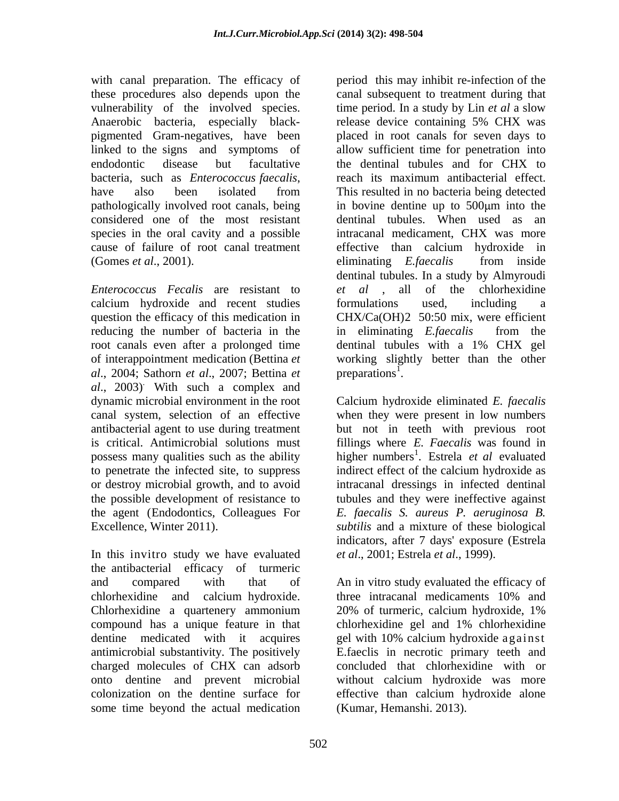with canal preparation. The efficacy of these procedures also depends upon the vulnerability of the involved species. Anaerobic bacteria, especially black-<br>release device containing 5% CHX was endodontic disease but facultative the dentinal tubules and for CHX to bacteria, such as *Enterococcus faecalis*, considered one of the most resistant species in the oral cavity and a possible cause of failure of root canal treatment (Gomes *et al.*, 2001). eliminating *E. faecalis* from inside

calcium hydroxide and recent studies question the efficacy of this medication in reducing the number of bacteria in the in eliminating *E. faecalis* from the root canals even after a prolonged time dentinal tubules with a 1% CHX gel *al*., 2004; Sathorn *et al*., 2007; Bettina *et al*., 2003) . With such a complex and antibacterial agent to use during treatment the agent (Endodontics, Colleagues For E. faecalis S. aureus P. aeruginosa B. Excellence, Winter 2011). Subtilis and a mixture of these biological

In this invitro study we have evaluated the antibacterial efficacy of turmeric chlorhexidine and calcium hydroxide. Chlorhexidine a quartenery ammonium 20% of turmeric, calcium hydroxide, 1% compound has a unique feature in that chlorhexidine gel and 1% chlorhexidine charged molecules of CHX can adsorb some time beyond the actual medication

pigmented Gram-negatives, have been placed in root canals for seven days to linked to the signs and symptoms of allow sufficient time for penetration into have also been isolated from This resulted in no bacteria being detected pathologically involved root canals, being in bovine dentine up to 500 µm into the *Enterococcus Fecalis* are resistant to *et al* , all of the chlorhexidine of interappointment medication (Bettina *et*  working slightly better than the other period this may inhibit re-infection of the canal subsequent to treatment during that time period. In a study by Lin *et al* a slow release device containing 5% CHX was the dentinal tubules and for CHX to reach its maximum antibacterial effect. This resulted in no bacteria being detected dentinal tubules. When used as an intracanal medicament, CHX was more effective than calcium hydroxide in eliminating *E.faecalis* from inside dentinal tubules. In a study by Almyroudi formulations used, including a CHX/Ca(OH)2 50:50 mix, were efficient in eliminating *E.faecalis* from the dentinal tubules with a 1% CHX gel preparations<sup>1</sup>.  $1$  and  $1$  and  $1$  and  $1$  and  $1$  and  $1$  and  $1$  and  $1$  and  $1$  and  $1$  and  $1$  and  $1$  and  $1$  and  $1$  and  $1$  and  $1$  and  $1$  and  $1$  and  $1$  and  $1$  and  $1$  and  $1$  and  $1$  and  $1$  and  $1$  and  $1$  and  $1$  and  $1$  a . A construction of the construction of the construction of the construction of the construction of the construction of the construction of the construction of the construction of the construction of the construction of th

dynamic microbial environment in the root Calcium hydroxide eliminated *E. faecalis* canal system, selection of an effective when they were present in low numbers is critical. Antimicrobial solutions must fillings where *E. Faecalis* was found in possess many qualities such as the ability higher numbers 1 . Estrela *et al* evaluated to penetrate the infected site, to suppress indirect effect of the calcium hydroxide as or destroy microbial growth, and to avoid intracanal dressings in infected dentinal the possible development of resistance to tubules and they were ineffective against but not in teeth with previous root *E. faecalis S. aureus P. aeruginosa B. subtilis* and <sup>a</sup> mixture of these biological indicators, after 7 days' exposure (Estrela *et al*., 2001; Estrela *et al*., 1999).

and compared with that of An in vitro study evaluated the efficacy of dentine medicated with it acquires gel with 10% calcium hydroxide against antimicrobial substantivity. The positively E.faeclis in necrotic primary teeth and onto dentine and prevent microbial without calcium hydroxide was more colonization on the dentine surface for effective than calcium hydroxide alone three intracanal medicaments 10% and 20% of turmeric, calcium hydroxide, 1% chlorhexidine gel and 1% chlorhexidine concluded that chlorhexidine with or (Kumar, Hemanshi. 2013).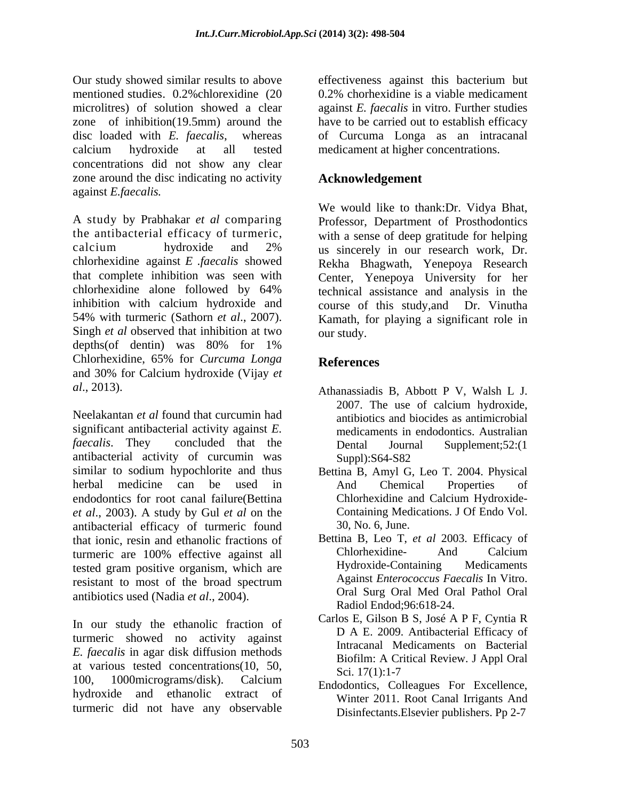Our study showed similar results to above effectiveness against this bacterium but mentioned studies. 0.2% chlorexidine (20 0.2% chorhexidine is a viable medicament microlitres) of solution showed a clear against *E. faecalis* in vitro. Further studies zone of inhibition(19.5mm) around the have to be carried out to establish efficacy disc loaded with *E. faecalis*, whereas of Curcuma Longa as an intracanal calcium hydroxide at all tested medicament at higher concentrations. concentrations did not show any clear zone around the disc indicating no activity against *E.faecalis.*

A study by Prabhakar *et al* comparing the antibacterial efficacy of turmeric, with a sense of deep gratitude for helping<br>calcium hydroxide and 2% us sincerely in our research work. Dr. chlorhexidine against *E .faecalis* showed that complete inhibition was seen with Center, Yenepoya University for her chlorhexidine alone followed by 64% inhibition with calcium hydroxide and course of this study,and Dr. Vinutha 54% with turmeric (Sathorn *et al.*, 2007). Kamath, for playing a significant role in<br>Singh *et al* observed that inhibition at two our study. depths(of dentin) was 80% for 1% Chlorhexidine, 65% for *Curcuma Longa* and 30% for Calcium hydroxide (Vijay *et* 

Neelakantan *et al* found that curcumin had antibiotics and biocides as antimicrobial significant antibacterial activity against *E. faecalis*. They concluded that the Dental Journal Supplement: 52:(1) antibacterial activity of curcumin was similar to sodium hypochlorite and thus herbal medicine can be used in endodontics for root canal failure(Bettina *et al.*, 2003). A study by Gul *et al* on the Containing Med<br>antibacterial efficacy of turmeric found 30, No. 6. June. antibacterial efficacy of turmeric found that ionic, resin and ethanolic fractions of Bettina B, Leo T, et al 2003. Efficacy of turneric are 100% effective against all Chlorhexidine- And Calcium turmeric are 100% effective against all Chlorhexidine-<br>tested gram positive organism which are Hydroxide-Containing Medicaments tested gram positive organism, which are resistant to most of the broad spectrum<br>Against *Enterococcus Faecalis* In Vitro. antibiotics used (Nadia *et al*., 2004).

In our study the ethanolic fraction of turmeric showed no activity against *E. faecalis* in agar disk diffusion methods at various tested concentrations(10, 50,  $\frac{50}{17(1):1-7}$ 100, 1000micrograms/disk). Calcium Endodontics, Colleagues For Excellence, hydroxide and ethanolic extract of turmeric did not have any observable

effectiveness against this bacterium but 0.2% chorhexidine is a viable medicament

### **Acknowledgement**

We would like to thank:Dr. Vidya Bhat, Professor, Department of Prosthodontics with a sense of deep gratitude for helping us sincerely in our research work, Dr. Rekha Bhagwath, Yenepoya Research technical assistance and analysis in the Kamath, for playing a significant role in our study.

# **References**

- *al*., 2013). Athanassiadis B, Abbott P V, Walsh L J. 2007. The use of calcium hydroxide, medicaments in endodontics. Australian Dental Journal Supplement;52:(1 Suppl):S64-S82
	- Bettina B, Amyl G, Leo T. 2004. Physical And Chemical Properties of Chlorhexidine and Calcium Hydroxide- Containing Medications. J Of Endo Vol. 30, No. 6, June.
	- Bettina B, Leo T, *et al* 2003. Efficacy of Chlorhexidine- And Calcium Hydroxide-Containing Medicaments Against *Enterococcus Faecalis* In Vitro. Oral Surg Oral Med Oral Pathol Oral Radiol Endod;96:618-24.
	- Carlos E, Gilson B S, José A P F, Cyntia R D A E. 2009. Antibacterial Efficacy of Intracanal Medicaments on Bacterial Biofilm: A Critical Review. J Appl Oral Sci. 17(1):1-7
	- Winter 2011. Root Canal Irrigants And Disinfectants.Elsevier publishers. Pp 2-7